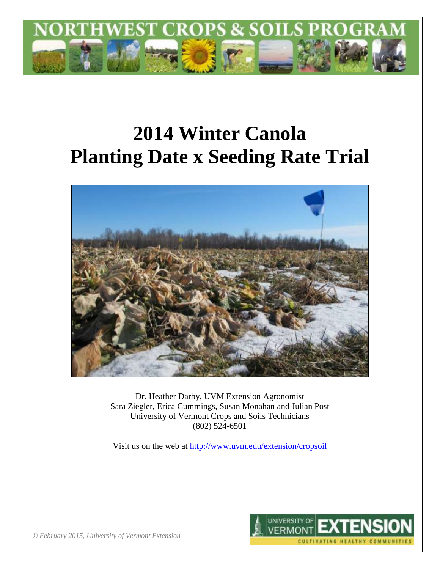

# **2014 Winter Canola Planting Date x Seeding Rate Trial**



Dr. Heather Darby, UVM Extension Agronomist Sara Ziegler, Erica Cummings, Susan Monahan and Julian Post University of Vermont Crops and Soils Technicians (802) 524-6501

Visit us on the web at<http://www.uvm.edu/extension/cropsoil>



*© February 2015, University of Vermont Extension*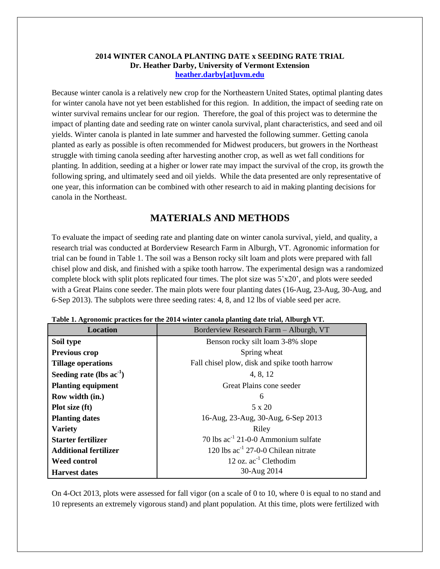#### **2014 WINTER CANOLA PLANTING DATE x SEEDING RATE TRIAL Dr. Heather Darby, University of Vermont Extension [heather.darby\[at\]uvm.edu](mailto:Heather.Darby@uvm.edu?subject=2012%20Winter%20Canola%20Planting%20Date%20Trial)**

Because winter canola is a relatively new crop for the Northeastern United States, optimal planting dates for winter canola have not yet been established for this region. In addition, the impact of seeding rate on winter survival remains unclear for our region. Therefore, the goal of this project was to determine the impact of planting date and seeding rate on winter canola survival, plant characteristics, and seed and oil yields. Winter canola is planted in late summer and harvested the following summer. Getting canola planted as early as possible is often recommended for Midwest producers, but growers in the Northeast struggle with timing canola seeding after harvesting another crop, as well as wet fall conditions for planting. In addition, seeding at a higher or lower rate may impact the survival of the crop, its growth the following spring, and ultimately seed and oil yields. While the data presented are only representative of one year, this information can be combined with other research to aid in making planting decisions for canola in the Northeast.

## **MATERIALS AND METHODS**

To evaluate the impact of seeding rate and planting date on winter canola survival, yield, and quality, a research trial was conducted at Borderview Research Farm in Alburgh, VT. Agronomic information for trial can be found in Table 1. The soil was a Benson rocky silt loam and plots were prepared with fall chisel plow and disk, and finished with a spike tooth harrow. The experimental design was a randomized complete block with split plots replicated four times. The plot size was  $5'x20'$ , and plots were seeded with a Great Plains cone seeder. The main plots were four planting dates (16-Aug, 23-Aug, 30-Aug, and 6-Sep 2013). The subplots were three seeding rates: 4, 8, and 12 lbs of viable seed per acre.

| <b>Location</b>               | Borderview Research Farm - Alburgh, VT        |  |
|-------------------------------|-----------------------------------------------|--|
| Soil type                     | Benson rocky silt loam 3-8% slope             |  |
| <b>Previous crop</b>          | Spring wheat                                  |  |
| <b>Tillage operations</b>     | Fall chisel plow, disk and spike tooth harrow |  |
| Seeding rate (lbs $ac^{-1}$ ) | 4, 8, 12                                      |  |
| <b>Planting equipment</b>     | Great Plains cone seeder                      |  |
| Row width (in.)               | 6                                             |  |
| Plot size (ft)                | 5 x 20                                        |  |
| <b>Planting dates</b>         | 16-Aug, 23-Aug, 30-Aug, 6-Sep 2013            |  |
| <b>Variety</b>                | Riley                                         |  |
| <b>Starter fertilizer</b>     | 70 lbs $ac^{-1}$ 21-0-0 Ammonium sulfate      |  |
| <b>Additional fertilizer</b>  | 120 lbs $ac^{-1}$ 27-0-0 Chilean nitrate      |  |
| <b>Weed control</b>           | 12 oz. $ac^{-1}$ Clethodim                    |  |
| <b>Harvest dates</b>          | 30-Aug 2014                                   |  |

|  |  | Table 1. Agronomic practices for the 2014 winter canola planting date trial, Alburgh VT. |  |  |
|--|--|------------------------------------------------------------------------------------------|--|--|
|  |  |                                                                                          |  |  |
|  |  |                                                                                          |  |  |

On 4-Oct 2013, plots were assessed for fall vigor (on a scale of 0 to 10, where 0 is equal to no stand and 10 represents an extremely vigorous stand) and plant population. At this time, plots were fertilized with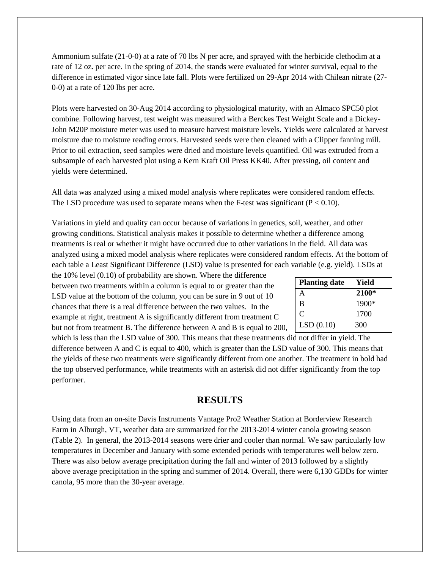Ammonium sulfate (21-0-0) at a rate of 70 lbs N per acre, and sprayed with the herbicide clethodim at a rate of 12 oz. per acre. In the spring of 2014, the stands were evaluated for winter survival, equal to the difference in estimated vigor since late fall. Plots were fertilized on 29-Apr 2014 with Chilean nitrate (27- 0-0) at a rate of 120 lbs per acre.

Plots were harvested on 30-Aug 2014 according to physiological maturity, with an Almaco SPC50 plot combine. Following harvest, test weight was measured with a Berckes Test Weight Scale and a Dickey-John M20P moisture meter was used to measure harvest moisture levels. Yields were calculated at harvest moisture due to moisture reading errors. Harvested seeds were then cleaned with a Clipper fanning mill. Prior to oil extraction, seed samples were dried and moisture levels quantified. Oil was extruded from a subsample of each harvested plot using a Kern Kraft Oil Press KK40. After pressing, oil content and yields were determined.

All data was analyzed using a mixed model analysis where replicates were considered random effects. The LSD procedure was used to separate means when the F-test was significant  $(P < 0.10)$ .

Variations in yield and quality can occur because of variations in genetics, soil, weather, and other growing conditions. Statistical analysis makes it possible to determine whether a difference among treatments is real or whether it might have occurred due to other variations in the field. All data was analyzed using a mixed model analysis where replicates were considered random effects. At the bottom of each table a Least Significant Difference (LSD) value is presented for each variable (e.g. yield). LSDs at

the 10% level (0.10) of probability are shown. Where the difference between two treatments within a column is equal to or greater than the LSD value at the bottom of the column, you can be sure in 9 out of 10 chances that there is a real difference between the two values. In the example at right, treatment A is significantly different from treatment C but not from treatment B. The difference between A and B is equal to 200,

| <b>Planting date</b> | Yield |
|----------------------|-------|
| А                    | 2100* |
| B                    | 1900* |
| C                    | 1700  |
| LSD(0.10)            | 300   |

which is less than the LSD value of 300. This means that these treatments did not differ in yield. The difference between A and C is equal to 400, which is greater than the LSD value of 300. This means that the yields of these two treatments were significantly different from one another. The treatment in bold had the top observed performance, while treatments with an asterisk did not differ significantly from the top performer.

## **RESULTS**

Using data from an on-site Davis Instruments Vantage Pro2 Weather Station at Borderview Research Farm in Alburgh, VT, weather data are summarized for the 2013-2014 winter canola growing season (Table 2). In general, the 2013-2014 seasons were drier and cooler than normal. We saw particularly low temperatures in December and January with some extended periods with temperatures well below zero. There was also below average precipitation during the fall and winter of 2013 followed by a slightly above average precipitation in the spring and summer of 2014. Overall, there were 6,130 GDDs for winter canola, 95 more than the 30-year average.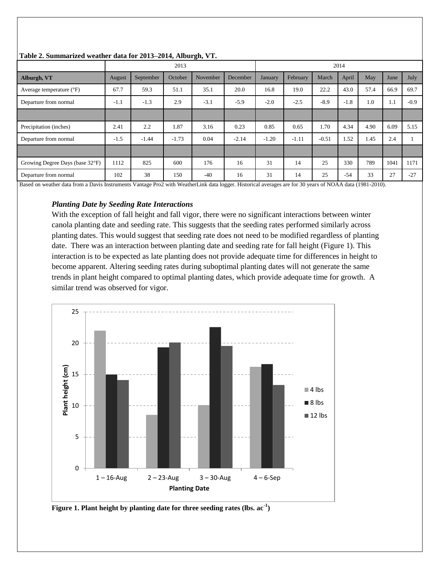| $= 0.28$ $= 0.24$ $= 0.004$ $= 0.004$ $= 0.004$ |        |           |         |          |          |                |          |         |        |      |      |        |
|-------------------------------------------------|--------|-----------|---------|----------|----------|----------------|----------|---------|--------|------|------|--------|
|                                                 |        | 2013      |         |          | 2014     |                |          |         |        |      |      |        |
| Alburgh, VT                                     | August | September | October | November | December | <b>January</b> | February | March   | April  | May  | June | July   |
| Average temperature $(^{\circ}F)$               | 67.7   | 59.3      | 51.1    | 35.1     | 20.0     | 16.8           | 19.0     | 22.2    | 43.0   | 57.4 | 66.9 | 69.7   |
| Departure from normal                           | $-1.1$ | $-1.3$    | 2.9     | $-3.1$   | $-5.9$   | $-2.0$         | $-2.5$   | $-8.9$  | $-1.8$ | 1.0  | 1.1  | $-0.9$ |
|                                                 |        |           |         |          |          |                |          |         |        |      |      |        |
| Precipitation (inches)                          | 2.41   | 2.2       | 1.87    | 3.16     | 0.23     | 0.85           | 0.65     | 1.70    | 4.34   | 4.90 | 6.09 | 5.15   |
| Departure from normal                           | $-1.5$ | $-1.44$   | $-1.73$ | 0.04     | $-2.14$  | $-1.20$        | $-1.11$  | $-0.51$ | 1.52   | 1.45 | 2.4  |        |
|                                                 |        |           |         |          |          |                |          |         |        |      |      |        |
| Growing Degree Days (base 32°F)                 | 1112   | 825       | 600     | 176      | 16       | 31             | 14       | 25      | 330    | 789  | 1041 | 1171   |
| Departure from normal                           | 102    | 38        | 150     | $-40$    | 16       | 31             | 14       | 25      | $-54$  | 33   | 27   | $-27$  |

#### **Table 2. Summarized weather data for 2013–2014, Alburgh, VT.**

Based on weather data from a Davis Instruments Vantage Pro2 with WeatherLink data logger. Historical averages are for 30 years of NOAA data (1981-2010).

#### *Planting Date by Seeding Rate Interactions*

With the exception of fall height and fall vigor, there were no significant interactions between winter canola planting date and seeding rate. This suggests that the seeding rates performed similarly across planting dates. This would suggest that seeding rate does not need to be modified regardless of planting date. There was an interaction between planting date and seeding rate for fall height (Figure 1). This interaction is to be expected as late planting does not provide adequate time for differences in height to become apparent. Altering seeding rates during suboptimal planting dates will not generate the same trends in plant height compared to optimal planting dates, which provide adequate time for growth. A similar trend was observed for vigor.



**Figure 1. Plant height by planting date for three seeding rates (lbs. ac-1 )**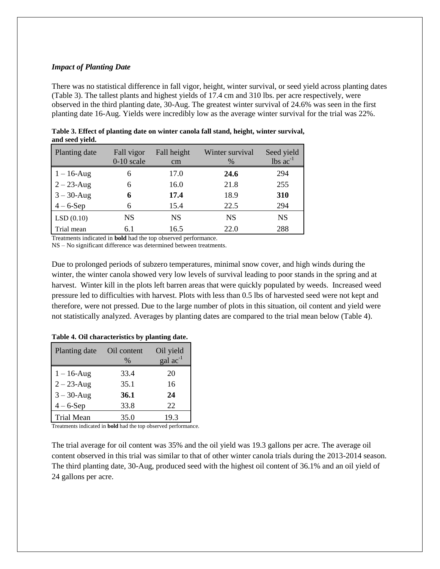#### *Impact of Planting Date*

There was no statistical difference in fall vigor, height, winter survival, or seed yield across planting dates (Table 3). The tallest plants and highest yields of 17.4 cm and 310 lbs. per acre respectively, were observed in the third planting date, 30-Aug. The greatest winter survival of 24.6% was seen in the first planting date 16-Aug. Yields were incredibly low as the average winter survival for the trial was 22%.

| ****************************** |                            |                   |                         |                                             |
|--------------------------------|----------------------------|-------------------|-------------------------|---------------------------------------------|
| Planting date                  | Fall vigor<br>$0-10$ scale | Fall height<br>cm | Winter survival<br>$\%$ | Seed yield<br>$\text{ lbs } \text{ac}^{-1}$ |
| $1 - 16$ -Aug                  | 6                          | 17.0              | 24.6                    | 294                                         |
| $2 - 23$ -Aug                  | 6                          | 16.0              | 21.8                    | 255                                         |
| $3 - 30$ -Aug                  | 6                          | 17.4              | 18.9                    | 310                                         |
| $4-6$ -Sep                     | 6                          | 15.4              | 22.5                    | 294                                         |
| LSD(0.10)                      | NS                         | <b>NS</b>         | <b>NS</b>               | <b>NS</b>                                   |
| Trial mean                     | 6.1                        | 16.5              | 22.0                    | 288                                         |

**Table 3. Effect of planting date on winter canola fall stand, height, winter survival, and seed yield.**

Treatments indicated in **bold** had the top observed performance.

NS – No significant difference was determined between treatments.

Due to prolonged periods of subzero temperatures, minimal snow cover, and high winds during the winter, the winter canola showed very low levels of survival leading to poor stands in the spring and at harvest. Winter kill in the plots left barren areas that were quickly populated by weeds. Increased weed pressure led to difficulties with harvest. Plots with less than 0.5 lbs of harvested seed were not kept and therefore, were not pressed. Due to the large number of plots in this situation, oil content and yield were not statistically analyzed. Averages by planting dates are compared to the trial mean below (Table 4).

| Table 4. Oil characteristics by planting date. |  |  |  |
|------------------------------------------------|--|--|--|
|------------------------------------------------|--|--|--|

| Planting date     | Oil content<br>$\%$ | Oil yield<br>$\text{gal ac}^{-1}$ |
|-------------------|---------------------|-----------------------------------|
| $1 - 16$ -Aug     | 33.4                | 20                                |
| $2 - 23$ -Aug     | 35.1                | 16                                |
| $3 - 30 - Aug$    | 36.1                | 24                                |
| $4-6$ -Sep        | 33.8                | 22                                |
| <b>Trial Mean</b> | 35.0                | 19.3                              |

Treatments indicated in **bold** had the top observed performance.

The trial average for oil content was 35% and the oil yield was 19.3 gallons per acre. The average oil content observed in this trial was similar to that of other winter canola trials during the 2013-2014 season. The third planting date, 30-Aug, produced seed with the highest oil content of 36.1% and an oil yield of 24 gallons per acre.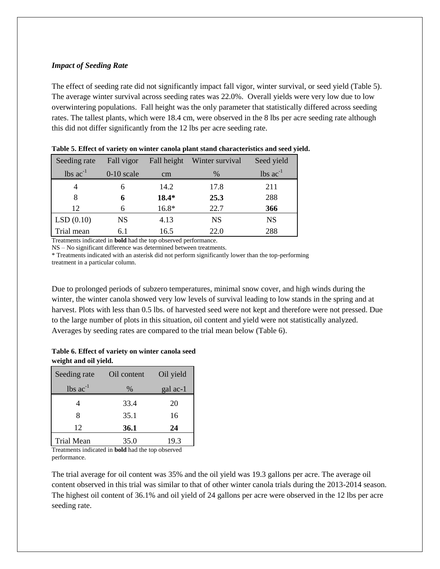#### *Impact of Seeding Rate*

The effect of seeding rate did not significantly impact fall vigor, winter survival, or seed yield (Table 5). The average winter survival across seeding rates was 22.0%. Overall yields were very low due to low overwintering populations. Fall height was the only parameter that statistically differed across seeding rates. The tallest plants, which were 18.4 cm, were observed in the 8 lbs per acre seeding rate although this did not differ significantly from the 12 lbs per acre seeding rate.

| Seeding rate  | Fall vigor   | Fall height | Winter survival | Seed yield    |
|---------------|--------------|-------------|-----------------|---------------|
| lbs $ac^{-1}$ | $0-10$ scale | $\rm cm$    | $\%$            | lbs $ac^{-1}$ |
|               | h            | 14.2        | 17.8            | 211           |
|               | 6            | 18.4*       | 25.3            | 288           |
| 12            | 6            | 16.8*       | 22.7            | 366           |
| LSD(0.10)     | NS           | 4.13        | <b>NS</b>       | NS            |
| Trial mean    | 6.1          | 16.5        | 22.0            | 288           |

**Table 5. Effect of variety on winter canola plant stand characteristics and seed yield.**

Treatments indicated in **bold** had the top observed performance.

NS – No significant difference was determined between treatments.

\* Treatments indicated with an asterisk did not perform significantly lower than the top-performing treatment in a particular column.

Due to prolonged periods of subzero temperatures, minimal snow cover, and high winds during the winter, the winter canola showed very low levels of survival leading to low stands in the spring and at harvest. Plots with less than 0.5 lbs. of harvested seed were not kept and therefore were not pressed. Due to the large number of plots in this situation, oil content and yield were not statistically analyzed. Averages by seeding rates are compared to the trial mean below (Table 6).

**Table 6. Effect of variety on winter canola seed weight and oil yield.**

| Seeding rate      | Oil content | Oil yield |
|-------------------|-------------|-----------|
| $lbs$ $ac^{-1}$   | $\%$        | gal ac-1  |
|                   | 33.4        | 20        |
| 8                 | 35.1        | 16        |
| 12                | <b>36.1</b> | 24        |
| <b>Trial Mean</b> | 35.0        | 19.3      |

Treatments indicated in **bold** had the top observed performance.

The trial average for oil content was 35% and the oil yield was 19.3 gallons per acre. The average oil content observed in this trial was similar to that of other winter canola trials during the 2013-2014 season. The highest oil content of 36.1% and oil yield of 24 gallons per acre were observed in the 12 lbs per acre seeding rate.